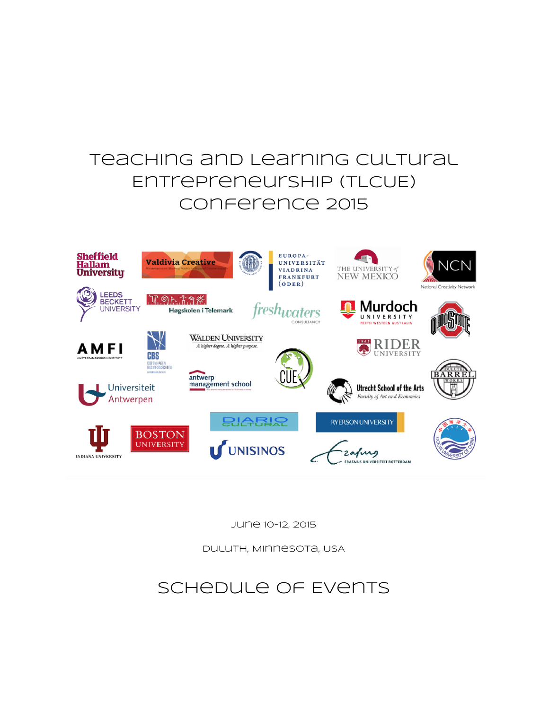## Teaching and Learning cultural Entrepreneurship (TLCUE) Conference 2015



June 10-12, 2015

Duluth, Minnesota, USA

## Schedule of Events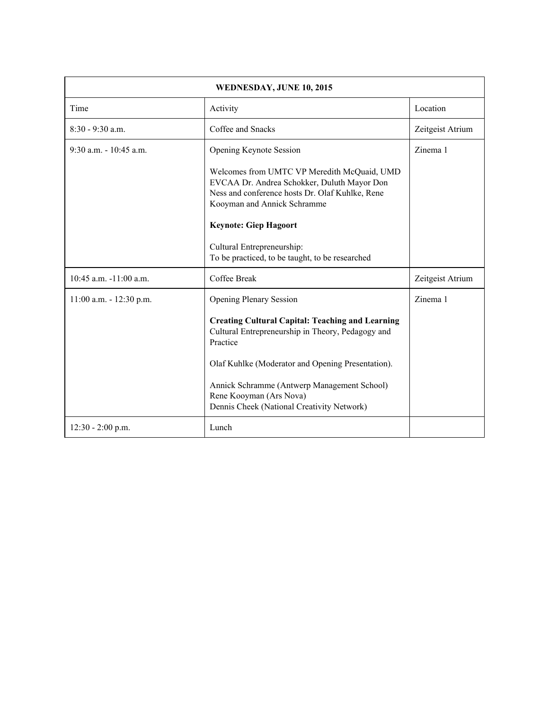| WEDNESDAY, JUNE 10, 2015   |                                                                                                                                                                                                                                                                                                                                         |                  |
|----------------------------|-----------------------------------------------------------------------------------------------------------------------------------------------------------------------------------------------------------------------------------------------------------------------------------------------------------------------------------------|------------------|
| Time                       | Activity                                                                                                                                                                                                                                                                                                                                | Location         |
| 8:30 - 9:30 a.m.           | Coffee and Snacks                                                                                                                                                                                                                                                                                                                       | Zeitgeist Atrium |
| $9:30$ a.m. $-10:45$ a.m.  | Opening Keynote Session<br>Welcomes from UMTC VP Meredith McQuaid, UMD<br>EVCAA Dr. Andrea Schokker, Duluth Mayor Don<br>Ness and conference hosts Dr. Olaf Kuhlke, Rene<br>Kooyman and Annick Schramme<br><b>Keynote: Giep Hagoort</b><br>Cultural Entrepreneurship:<br>To be practiced, to be taught, to be researched                | Zinema 1         |
| $10:45$ a.m. $-11:00$ a.m. | Coffee Break                                                                                                                                                                                                                                                                                                                            | Zeitgeist Atrium |
| $11:00$ a.m. $-12:30$ p.m. | <b>Opening Plenary Session</b><br><b>Creating Cultural Capital: Teaching and Learning</b><br>Cultural Entrepreneurship in Theory, Pedagogy and<br>Practice<br>Olaf Kuhlke (Moderator and Opening Presentation).<br>Annick Schramme (Antwerp Management School)<br>Rene Kooyman (Ars Nova)<br>Dennis Cheek (National Creativity Network) | Zinema 1         |
| $12:30 - 2:00$ p.m.        | Lunch                                                                                                                                                                                                                                                                                                                                   |                  |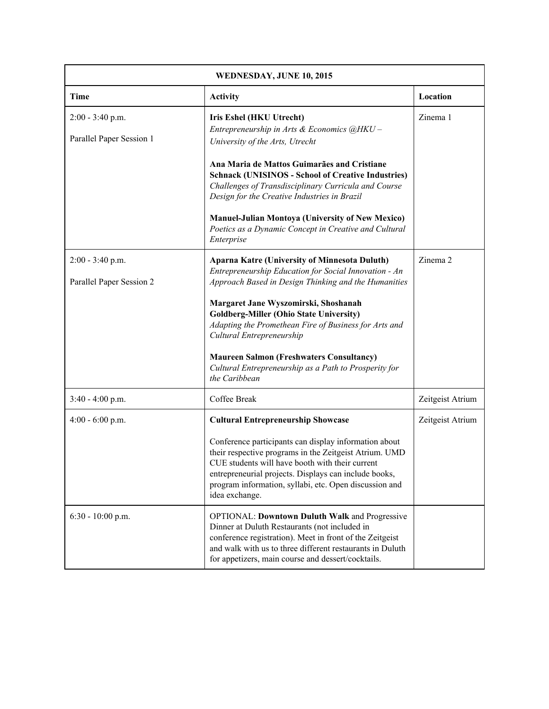| WEDNESDAY, JUNE 10, 2015                       |                                                                                                                                                                                                                                                                                                         |                  |
|------------------------------------------------|---------------------------------------------------------------------------------------------------------------------------------------------------------------------------------------------------------------------------------------------------------------------------------------------------------|------------------|
| <b>Time</b>                                    | <b>Activity</b>                                                                                                                                                                                                                                                                                         | Location         |
| $2:00 - 3:40$ p.m.<br>Parallel Paper Session 1 | <b>Iris Eshel (HKU Utrecht)</b><br>Entrepreneurship in Arts & Economics @HKU-<br>University of the Arts, Utrecht                                                                                                                                                                                        | Zinema 1         |
|                                                | Ana Maria de Mattos Guimarães and Cristiane<br><b>Schnack (UNISINOS - School of Creative Industries)</b><br>Challenges of Transdisciplinary Curricula and Course<br>Design for the Creative Industries in Brazil                                                                                        |                  |
|                                                | <b>Manuel-Julian Montoya (University of New Mexico)</b><br>Poetics as a Dynamic Concept in Creative and Cultural<br>Enterprise                                                                                                                                                                          |                  |
| $2:00 - 3:40$ p.m.<br>Parallel Paper Session 2 | <b>Aparna Katre (University of Minnesota Duluth)</b><br>Entrepreneurship Education for Social Innovation - An<br>Approach Based in Design Thinking and the Humanities                                                                                                                                   | Zinema 2         |
|                                                | Margaret Jane Wyszomirski, Shoshanah<br><b>Goldberg-Miller (Ohio State University)</b><br>Adapting the Promethean Fire of Business for Arts and<br>Cultural Entrepreneurship                                                                                                                            |                  |
|                                                | <b>Maureen Salmon (Freshwaters Consultancy)</b><br>Cultural Entrepreneurship as a Path to Prosperity for<br>the Caribbean                                                                                                                                                                               |                  |
| 3:40 - 4:00 p.m.                               | Coffee Break                                                                                                                                                                                                                                                                                            | Zeitgeist Atrium |
| $4:00 - 6:00$ p.m.                             | <b>Cultural Entrepreneurship Showcase</b>                                                                                                                                                                                                                                                               | Zeitgeist Atrium |
|                                                | Conference participants can display information about<br>their respective programs in the Zeitgeist Atrium. UMD<br>CUE students will have booth with their current<br>entrepreneurial projects. Displays can include books,<br>program information, syllabi, etc. Open discussion and<br>idea exchange. |                  |
| $6:30 - 10:00$ p.m.                            | <b>OPTIONAL: Downtown Duluth Walk and Progressive</b><br>Dinner at Duluth Restaurants (not included in<br>conference registration). Meet in front of the Zeitgeist<br>and walk with us to three different restaurants in Duluth<br>for appetizers, main course and dessert/cocktails.                   |                  |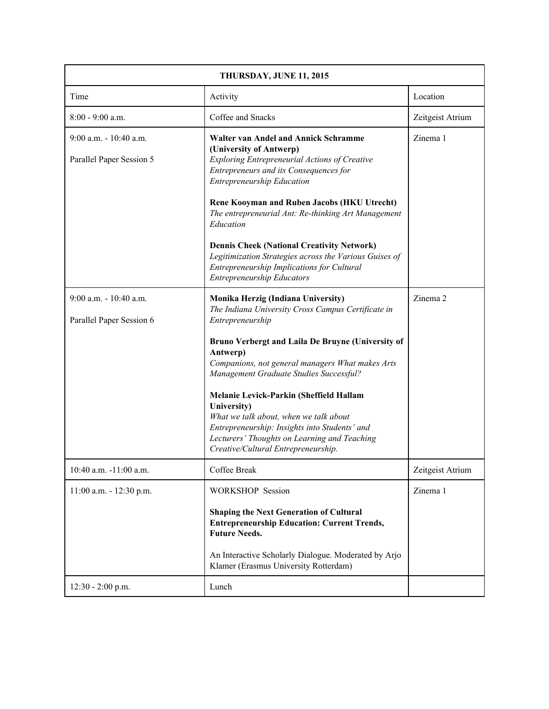| THURSDAY, JUNE 11, 2015                               |                                                                                                                                                                                                                                                                                                                                                                                                                                                                                                                          |                  |
|-------------------------------------------------------|--------------------------------------------------------------------------------------------------------------------------------------------------------------------------------------------------------------------------------------------------------------------------------------------------------------------------------------------------------------------------------------------------------------------------------------------------------------------------------------------------------------------------|------------------|
| Time                                                  | Activity                                                                                                                                                                                                                                                                                                                                                                                                                                                                                                                 | Location         |
| $8:00 - 9:00$ a.m.                                    | Coffee and Snacks                                                                                                                                                                                                                                                                                                                                                                                                                                                                                                        | Zeitgeist Atrium |
| $9:00$ a.m. $-10:40$ a.m.<br>Parallel Paper Session 5 | <b>Walter van Andel and Annick Schramme</b><br>(University of Antwerp)<br>Exploring Entrepreneurial Actions of Creative<br>Entrepreneurs and its Consequences for<br>Entrepreneurship Education<br>Rene Kooyman and Ruben Jacobs (HKU Utrecht)<br>The entrepreneurial Ant: Re-thinking Art Management<br>Education<br><b>Dennis Cheek (National Creativity Network)</b><br>Legitimization Strategies across the Various Guises of<br>Entrepreneurship Implications for Cultural<br><b>Entrepreneurship Educators</b>     | Zinema 1         |
| $9:00$ a.m. $-10:40$ a.m.<br>Parallel Paper Session 6 | Monika Herzig (Indiana University)<br>The Indiana University Cross Campus Certificate in<br>Entrepreneurship<br>Bruno Verbergt and Laila De Bruyne (University of<br>Antwerp)<br>Companions, not general managers What makes Arts<br>Management Graduate Studies Successful?<br>Melanie Levick-Parkin (Sheffield Hallam<br>University)<br>What we talk about, when we talk about<br>Entrepreneurship: Insights into Students' and<br>Lecturers' Thoughts on Learning and Teaching<br>Creative/Cultural Entrepreneurship. | Zinema 2         |
| 10:40 a.m. -11:00 a.m.                                | Coffee Break                                                                                                                                                                                                                                                                                                                                                                                                                                                                                                             | Zeitgeist Atrium |
| 11:00 a.m. - 12:30 p.m.                               | <b>WORKSHOP Session</b><br><b>Shaping the Next Generation of Cultural</b><br><b>Entrepreneurship Education: Current Trends,</b><br><b>Future Needs.</b><br>An Interactive Scholarly Dialogue. Moderated by Arjo<br>Klamer (Erasmus University Rotterdam)                                                                                                                                                                                                                                                                 | Zinema 1         |
| $12:30 - 2:00$ p.m.                                   | Lunch                                                                                                                                                                                                                                                                                                                                                                                                                                                                                                                    |                  |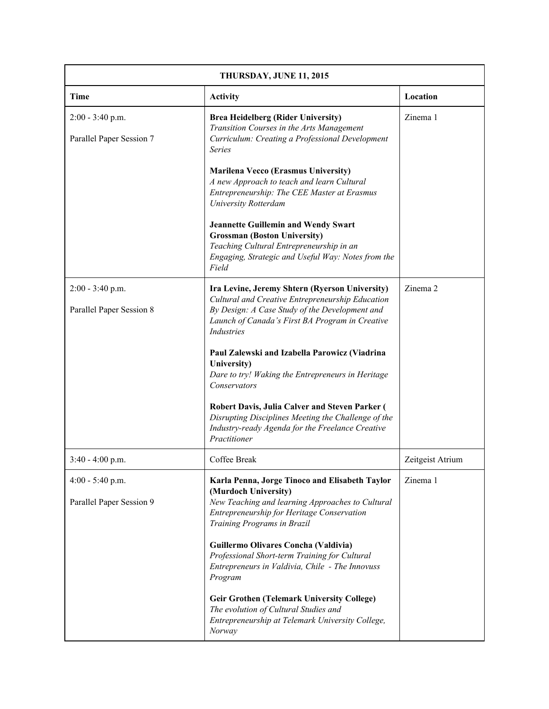| THURSDAY, JUNE 11, 2015                        |                                                                                                                                                                                                                       |                  |
|------------------------------------------------|-----------------------------------------------------------------------------------------------------------------------------------------------------------------------------------------------------------------------|------------------|
| <b>Time</b>                                    | <b>Activity</b>                                                                                                                                                                                                       | Location         |
| $2:00 - 3:40$ p.m.<br>Parallel Paper Session 7 | <b>Brea Heidelberg (Rider University)</b><br>Transition Courses in the Arts Management<br>Curriculum: Creating a Professional Development<br><b>Series</b>                                                            | Zinema 1         |
|                                                | <b>Marilena Vecco (Erasmus University)</b><br>A new Approach to teach and learn Cultural<br>Entrepreneurship: The CEE Master at Erasmus<br><b>University Rotterdam</b>                                                |                  |
|                                                | <b>Jeannette Guillemin and Wendy Swart</b><br><b>Grossman (Boston University)</b><br>Teaching Cultural Entrepreneurship in an<br>Engaging, Strategic and Useful Way: Notes from the<br>Field                          |                  |
| $2:00 - 3:40$ p.m.<br>Parallel Paper Session 8 | Ira Levine, Jeremy Shtern (Ryerson University)<br>Cultural and Creative Entrepreneurship Education<br>By Design: A Case Study of the Development and<br>Launch of Canada's First BA Program in Creative<br>Industries | Zinema 2         |
|                                                | Paul Zalewski and Izabella Parowicz (Viadrina<br>University)<br>Dare to try! Waking the Entrepreneurs in Heritage<br>Conservators                                                                                     |                  |
|                                                | Robert Davis, Julia Calver and Steven Parker (<br>Disrupting Disciplines Meeting the Challenge of the<br>Industry-ready Agenda for the Freelance Creative<br>Practitioner                                             |                  |
| $3:40 - 4:00$ p.m.                             | Coffee Break                                                                                                                                                                                                          | Zeitgeist Atrium |
| 4:00 - 5:40 p.m.<br>Parallel Paper Session 9   | Karla Penna, Jorge Tinoco and Elisabeth Taylor<br>(Murdoch University)<br>New Teaching and learning Approaches to Cultural<br>Entrepreneurship for Heritage Conservation<br>Training Programs in Brazil               | Zinema 1         |
|                                                | Guillermo Olivares Concha (Valdivia)<br>Professional Short-term Training for Cultural<br>Entrepreneurs in Valdivia, Chile - The Innovuss<br>Program                                                                   |                  |
|                                                | <b>Geir Grothen (Telemark University College)</b><br>The evolution of Cultural Studies and<br>Entrepreneurship at Telemark University College,<br>Norway                                                              |                  |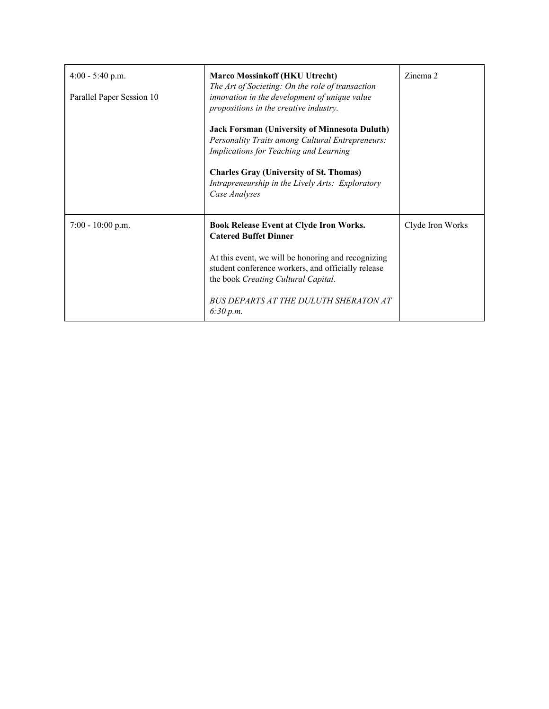| $4:00 - 5:40$ p.m.<br>Parallel Paper Session 10 | <b>Marco Mossinkoff (HKU Utrecht)</b><br>The Art of Societing: On the role of transaction<br>innovation in the development of unique value<br>propositions in the creative industry.<br><b>Jack Forsman (University of Minnesota Duluth)</b><br>Personality Traits among Cultural Entrepreneurs:<br>Implications for Teaching and Learning<br><b>Charles Gray (University of St. Thomas)</b><br>Intrapreneurship in the Lively Arts: Exploratory<br>Case Analyses | Zinema 2         |
|-------------------------------------------------|-------------------------------------------------------------------------------------------------------------------------------------------------------------------------------------------------------------------------------------------------------------------------------------------------------------------------------------------------------------------------------------------------------------------------------------------------------------------|------------------|
| $7:00 - 10:00$ p.m.                             | <b>Book Release Event at Clyde Iron Works.</b><br><b>Catered Buffet Dinner</b><br>At this event, we will be honoring and recognizing<br>student conference workers, and officially release<br>the book Creating Cultural Capital.<br>BUS DEPARTS AT THE DULUTH SHERATON AT<br>6:30 p.m.                                                                                                                                                                           | Clyde Iron Works |